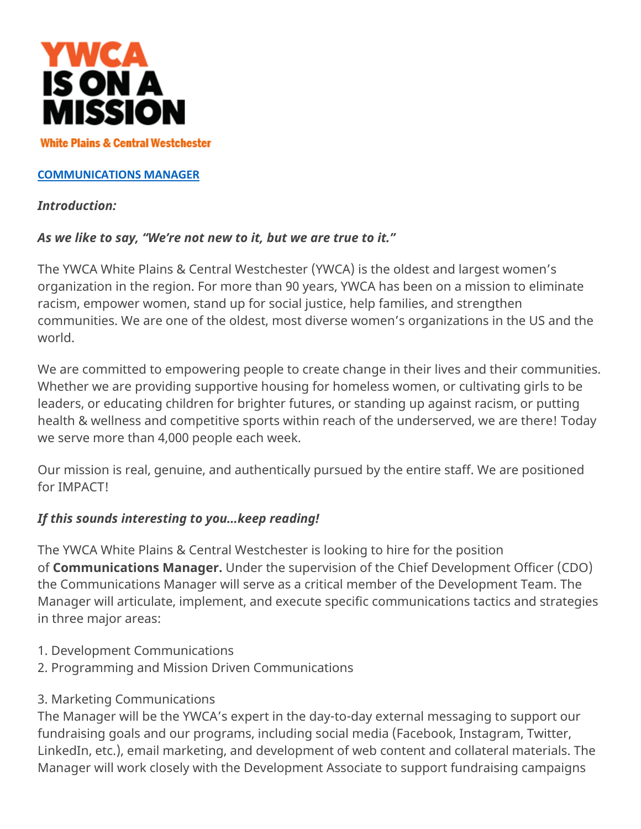

#### **[COMMUNICATIONS MANAGER](https://www.indeed.com/job/communications-manager-8a685e449957f9b0)**

#### *Introduction:*

#### *As we like to say, "We're not new to it, but we are true to it."*

The YWCA White Plains & Central Westchester (YWCA) is the oldest and largest women's organization in the region. For more than 90 years, YWCA has been on a mission to eliminate racism, empower women, stand up for social justice, help families, and strengthen communities. We are one of the oldest, most diverse women's organizations in the US and the world.

We are committed to empowering people to create change in their lives and their communities. Whether we are providing supportive housing for homeless women, or cultivating girls to be leaders, or educating children for brighter futures, or standing up against racism, or putting health & wellness and competitive sports within reach of the underserved, we are there! Today we serve more than 4,000 people each week.

Our mission is real, genuine, and authentically pursued by the entire staff. We are positioned for IMPACT!

#### *If this sounds interesting to you…keep reading!*

The YWCA White Plains & Central Westchester is looking to hire for the position of **Communications Manager.** Under the supervision of the Chief Development Officer (CDO) the Communications Manager will serve as a critical member of the Development Team. The Manager will articulate, implement, and execute specific communications tactics and strategies in three major areas:

- 1. Development Communications
- 2. Programming and Mission Driven Communications
- 3. Marketing Communications

The Manager will be the YWCA's expert in the day-to-day external messaging to support our fundraising goals and our programs, including social media (Facebook, Instagram, Twitter, LinkedIn, etc.), email marketing, and development of web content and collateral materials. The Manager will work closely with the Development Associate to support fundraising campaigns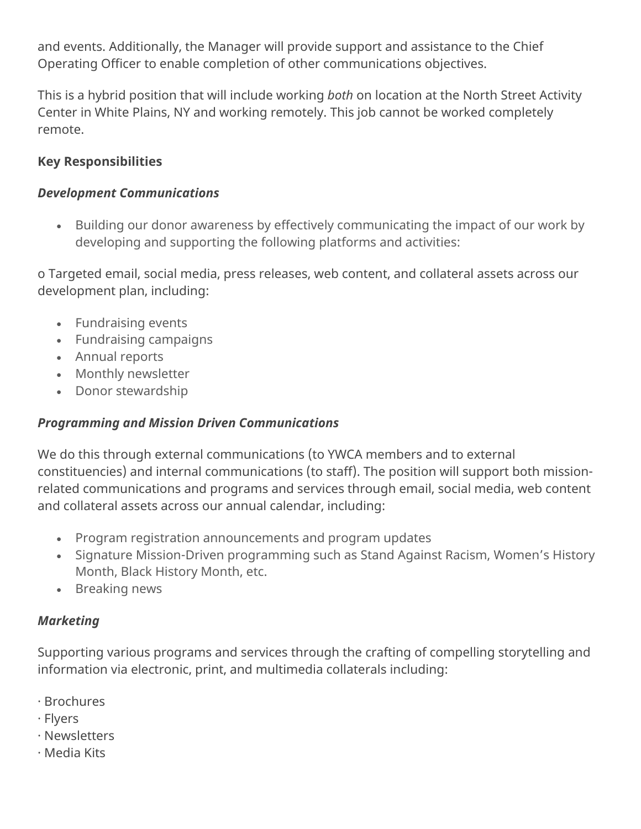and events. Additionally, the Manager will provide support and assistance to the Chief Operating Officer to enable completion of other communications objectives.

This is a hybrid position that will include working *both* on location at the North Street Activity Center in White Plains, NY and working remotely. This job cannot be worked completely remote.

#### **Key Responsibilities**

#### *Development Communications*

• Building our donor awareness by effectively communicating the impact of our work by developing and supporting the following platforms and activities:

o Targeted email, social media, press releases, web content, and collateral assets across our development plan, including:

- Fundraising events
- Fundraising campaigns
- Annual reports
- Monthly newsletter
- Donor stewardship

### *Programming and Mission Driven Communications*

We do this through external communications (to YWCA members and to external constituencies) and internal communications (to staff). The position will support both missionrelated communications and programs and services through email, social media, web content and collateral assets across our annual calendar, including:

- Program registration announcements and program updates
- Signature Mission-Driven programming such as Stand Against Racism, Women's History Month, Black History Month, etc.
- Breaking news

### *Marketing*

Supporting various programs and services through the crafting of compelling storytelling and information via electronic, print, and multimedia collaterals including:

- · Brochures
- · Flyers
- · Newsletters
- · Media Kits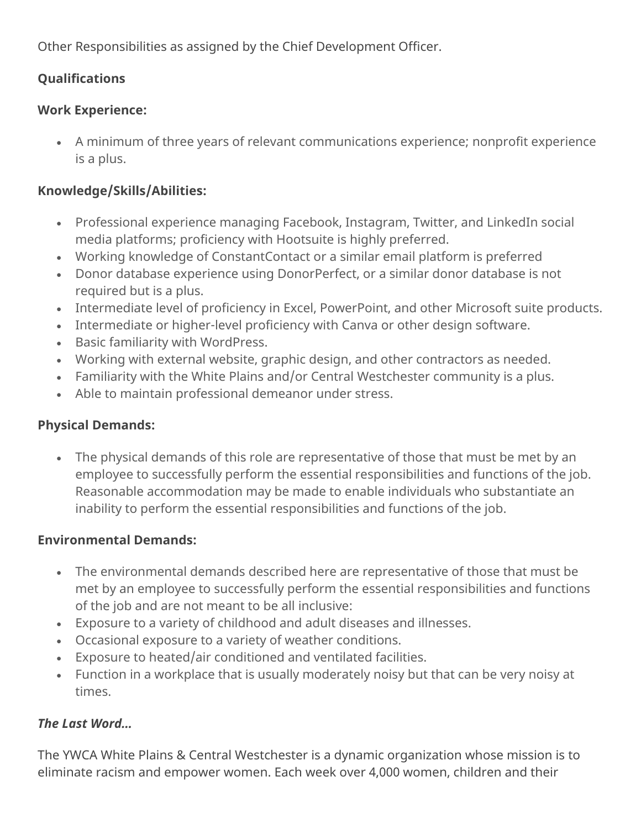Other Responsibilities as assigned by the Chief Development Officer.

# **Qualifications**

### **Work Experience:**

• A minimum of three years of relevant communications experience; nonprofit experience is a plus.

## **Knowledge/Skills/Abilities:**

- Professional experience managing Facebook, Instagram, Twitter, and LinkedIn social media platforms; proficiency with Hootsuite is highly preferred.
- Working knowledge of ConstantContact or a similar email platform is preferred
- Donor database experience using DonorPerfect, or a similar donor database is not required but is a plus.
- Intermediate level of proficiency in Excel, PowerPoint, and other Microsoft suite products.
- Intermediate or higher-level proficiency with Canva or other design software.
- Basic familiarity with WordPress.
- Working with external website, graphic design, and other contractors as needed.
- Familiarity with the White Plains and/or Central Westchester community is a plus.
- Able to maintain professional demeanor under stress.

### **Physical Demands:**

• The physical demands of this role are representative of those that must be met by an employee to successfully perform the essential responsibilities and functions of the job. Reasonable accommodation may be made to enable individuals who substantiate an inability to perform the essential responsibilities and functions of the job.

### **Environmental Demands:**

- The environmental demands described here are representative of those that must be met by an employee to successfully perform the essential responsibilities and functions of the job and are not meant to be all inclusive:
- Exposure to a variety of childhood and adult diseases and illnesses.
- Occasional exposure to a variety of weather conditions.
- Exposure to heated/air conditioned and ventilated facilities.
- Function in a workplace that is usually moderately noisy but that can be very noisy at times.

### *The Last Word…*

The YWCA White Plains & Central Westchester is a dynamic organization whose mission is to eliminate racism and empower women. Each week over 4,000 women, children and their